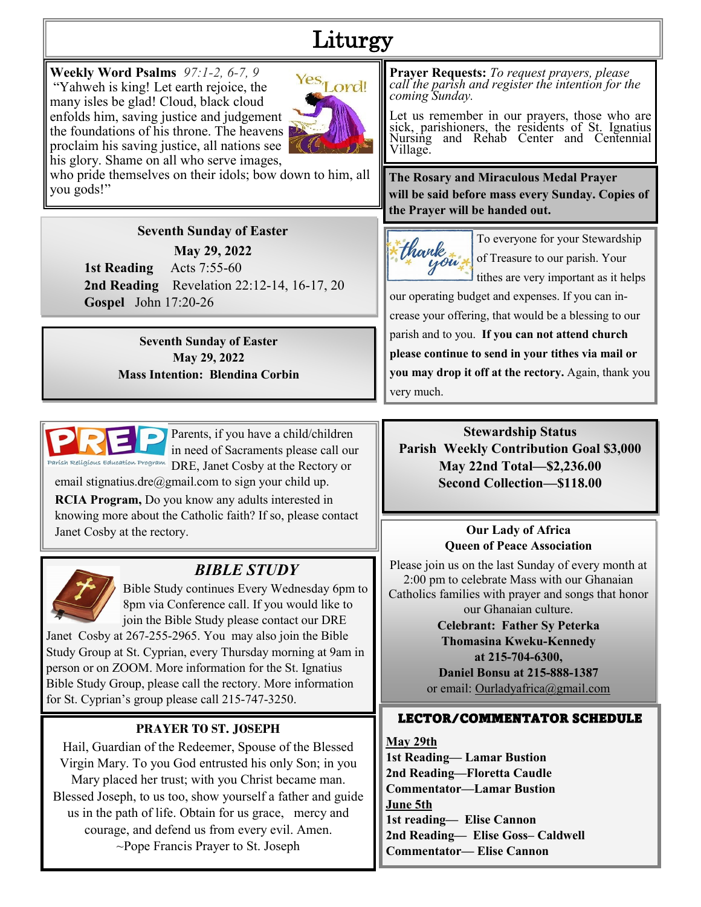# Liturgy

**Weekly Word Psalms** *97:1-2, 6-7, 9* "Yahweh is king! Let earth rejoice, the many isles be glad! Cloud, black cloud enfolds him, saving justice and judgement the foundations of his throne. The heavens proclaim his saving justice, all nations see his glory. Shame on all who serve images,



who pride themselves on their idols; bow down to him, all you gods!"

#### **Seventh Sunday of Easter**

**May 29, 2022**

**1st Reading** Acts 7:55-60 **2nd Reading** Revelation 22:12-14, 16-17, 20 **Gospel** John 17:20-26

> **Seventh Sunday of Easter May 29, 2022 Mass Intention: Blendina Corbin**



Parents, if you have a child/children in need of Sacraments please call our DRE, Janet Cosby at the Rectory or

email stignatius.dre $(\partial \text{gmail.com})$  to sign your child up.

**RCIA Program,** Do you know any adults interested in knowing more about the Catholic faith? If so, please contact Janet Cosby at the rectory.



## *BIBLE STUDY*

Bible Study continues Every Wednesday 6pm to 8pm via Conference call. If you would like to join the Bible Study please contact our DRE Janet Cosby at 267-255-2965. You may also join the Bible

Study Group at St. Cyprian, every Thursday morning at 9am in person or on ZOOM. More information for the St. Ignatius Bible Study Group, please call the rectory. More information for St. Cyprian's group please call 215-747-3250.

### **PRAYER TO ST. JOSEPH**

Hail, Guardian of the Redeemer, Spouse of the Blessed Virgin Mary. To you God entrusted his only Son; in you Mary placed her trust; with you Christ became man. Blessed Joseph, to us too, show yourself a father and guide us in the path of life. Obtain for us grace, mercy and courage, and defend us from every evil. Amen. ~Pope Francis Prayer to St. Joseph

**Prayer Requests:** *To request prayers, please call the parish and register the intention for the coming Sunday.*

Let us remember in our prayers, those who are sick, parishioners, the residents of St. Ignatius Nursing and Rehab Center and Centennial Village.

**The Rosary and Miraculous Medal Prayer will be said before mass every Sunday. Copies of the Prayer will be handed out.**



To everyone for your Stewardship of Treasure to our parish. Your tithes are very important as it helps

our operating budget and expenses. If you can increase your offering, that would be a blessing to our parish and to you. **If you can not attend church please continue to send in your tithes via mail or you may drop it off at the rectory.** Again, thank you very much.

**Stewardship Status Parish Weekly Contribution Goal \$3,000 May 22nd Total—\$2,236.00 Second Collection—\$118.00**

#### **Our Lady of Africa Queen of Peace Association**

Please join us on the last Sunday of every month at 2:00 pm to celebrate Mass with our Ghanaian Catholics families with prayer and songs that honor our Ghanaian culture.

> **Celebrant: Father Sy Peterka Thomasina Kweku-Kennedy at 215-704-6300, Daniel Bonsu at 215-888-1387**  or email: Ourladyafrica@gmail.com

### LECTOR/COMMENTATOR SCHEDULE

**May 29th 1st Reading— Lamar Bustion 2nd Reading—Floretta Caudle Commentator—Lamar Bustion June 5th 1st reading— Elise Cannon 2nd Reading— Elise Goss– Caldwell Commentator— Elise Cannon**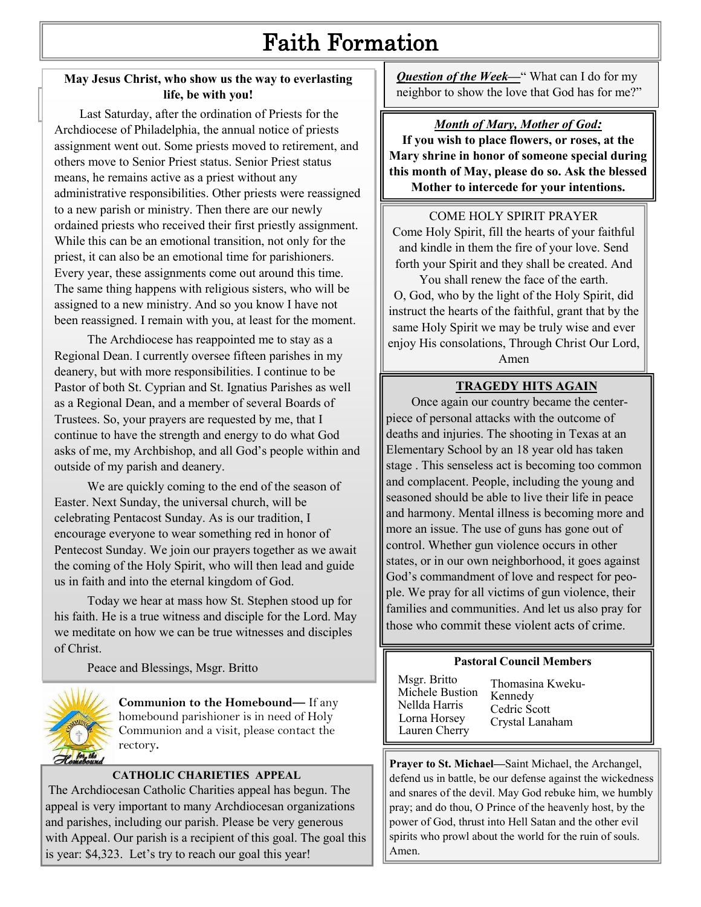# Faith Formation

#### **May Jesus Christ, who show us the way to everlasting life, be with you!**

**Pastor Corner** is the set of Priests for the Last Saturday, after the ordination of Priests for the Archdiocese of Philadelphia, the annual notice of priests assignment went out. Some priests moved to retirement, and others move to Senior Priest status. Senior Priest status means, he remains active as a priest without any administrative responsibilities. Other priests were reassigned to a new parish or ministry. Then there are our newly ordained priests who received their first priestly assignment. While this can be an emotional transition, not only for the priest, it can also be an emotional time for parishioners. Every year, these assignments come out around this time. The same thing happens with religious sisters, who will be assigned to a new ministry. And so you know I have not been reassigned. I remain with you, at least for the moment.

The Archdiocese has reappointed me to stay as a Regional Dean. I currently oversee fifteen parishes in my deanery, but with more responsibilities. I continue to be Pastor of both St. Cyprian and St. Ignatius Parishes as well as a Regional Dean, and a member of several Boards of Trustees. So, your prayers are requested by me, that I continue to have the strength and energy to do what God asks of me, my Archbishop, and all God's people within and outside of my parish and deanery.

We are quickly coming to the end of the season of Easter. Next Sunday, the universal church, will be celebrating Pentacost Sunday. As is our tradition, I encourage everyone to wear something red in honor of Pentecost Sunday. We join our prayers together as we await the coming of the Holy Spirit, who will then lead and guide us in faith and into the eternal kingdom of God.

Today we hear at mass how St. Stephen stood up for his faith. He is a true witness and disciple for the Lord. May we meditate on how we can be true witnesses and disciples of Christ.

Peace and Blessings, Msgr. Britto



**Communion to the Homebound—** If any homebound parishioner is in need of Holy Communion and a visit, please contact the rectory**.**

#### **CATHOLIC CHARIETIES APPEAL**

The Archdiocesan Catholic Charities appeal has begun. The appeal is very important to many Archdiocesan organizations and parishes, including our parish. Please be very generous with Appeal. Our parish is a recipient of this goal. The goal this is year: \$4,323. Let's try to reach our goal this year!

**Question of the Week—**" What can I do for my neighbor to show the love that God has for me?"

#### *Month of Mary, Mother of God:*

**If you wish to place flowers, or roses, at the Mary shrine in honor of someone special during this month of May, please do so. Ask the blessed Mother to intercede for your intentions.**

#### COME HOLY SPIRIT PRAYER

Come Holy Spirit, fill the hearts of your faithful and kindle in them the fire of your love. Send forth your Spirit and they shall be created. And

You shall renew the face of the earth. O, God, who by the light of the Holy Spirit, did instruct the hearts of the faithful, grant that by the same Holy Spirit we may be truly wise and ever enjoy His consolations, Through Christ Our Lord,

Amen

#### **TRAGEDY HITS AGAIN**

 Once again our country became the centerpiece of personal attacks with the outcome of deaths and injuries. The shooting in Texas at an Elementary School by an 18 year old has taken stage . This senseless act is becoming too common and complacent. People, including the young and seasoned should be able to live their life in peace and harmony. Mental illness is becoming more and more an issue. The use of guns has gone out of control. Whether gun violence occurs in other states, or in our own neighborhood, it goes against God's commandment of love and respect for people. We pray for all victims of gun violence, their families and communities. And let us also pray for those who commit these violent acts of crime.

#### **Pastoral Council Members**

| Msgr. Britto<br>Michele Bustion<br>Nellda Harris<br>Lorna Horsey<br>Lauren Cherry | Thomasina Kweku-<br>Kennedy<br>Cedric Scott<br>Crystal Lanaham |
|-----------------------------------------------------------------------------------|----------------------------------------------------------------|
|-----------------------------------------------------------------------------------|----------------------------------------------------------------|

**Prayer to St. Michael—**Saint Michael, the Archangel, defend us in battle, be our defense against the wickedness and snares of the devil. May God rebuke him, we humbly pray; and do thou, O Prince of the heavenly host, by the power of God, thrust into Hell Satan and the other evil spirits who prowl about the world for the ruin of souls. Amen.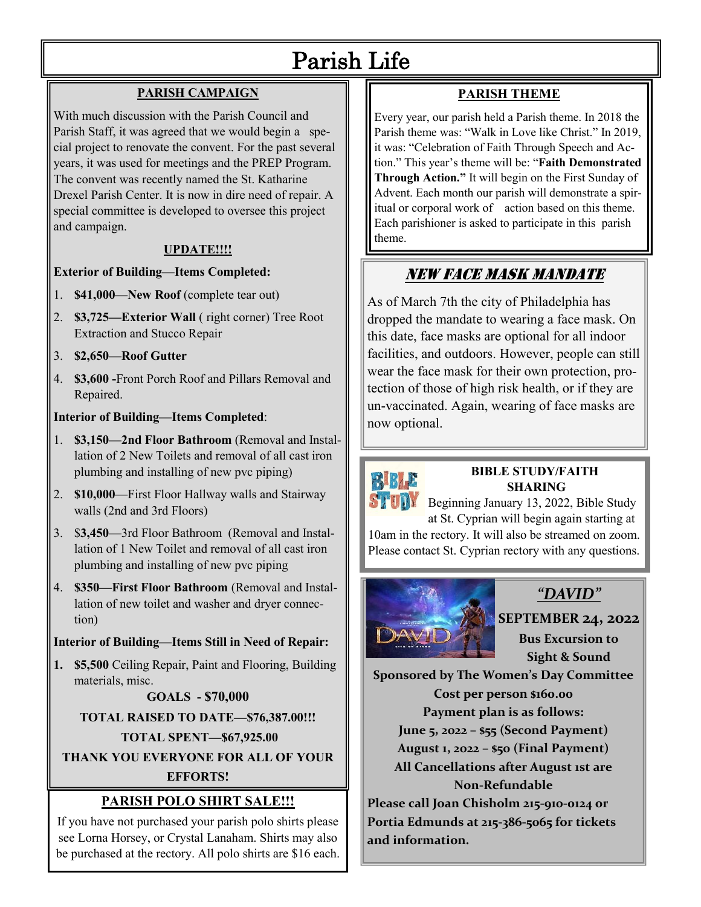# Parish Life

#### **PARISH CAMPAIGN**

With much discussion with the Parish Council and Parish Staff, it was agreed that we would begin a special project to renovate the convent. For the past several years, it was used for meetings and the PREP Program. The convent was recently named the St. Katharine Drexel Parish Center. It is now in dire need of repair. A special committee is developed to oversee this project and campaign.

#### **UPDATE!!!!**

#### **Exterior of Building—Items Completed:**

- 1. **\$41,000—New Roof** (complete tear out)
- 2. **\$3,725—Exterior Wall** ( right corner) Tree Root Extraction and Stucco Repair
- 3. **\$2,650—Roof Gutter**
- 4. **\$3,600 -**Front Porch Roof and Pillars Removal and Repaired.

#### **Interior of Building—Items Completed**:

- 1. **\$3,150—2nd Floor Bathroom** (Removal and Installation of 2 New Toilets and removal of all cast iron plumbing and installing of new pvc piping)
- 2. **\$10,000**—First Floor Hallway walls and Stairway walls (2nd and 3rd Floors)
- 3. \$**3,450**—3rd Floor Bathroom (Removal and Installation of 1 New Toilet and removal of all cast iron plumbing and installing of new pvc piping
- 4. **\$350—First Floor Bathroom** (Removal and Installation of new toilet and washer and dryer connection)

#### **Interior of Building—Items Still in Need of Repair:**

**1. \$5,500** Ceiling Repair, Paint and Flooring, Building materials, misc.

#### **GOALS - \$70,000**

**TOTAL RAISED TO DATE—\$76,387.00!!!**

### **TOTAL SPENT—\$67,925.00**

**THANK YOU EVERYONE FOR ALL OF YOUR** 

#### **EFFORTS!**

## **PARISH POLO SHIRT SALE!!!**

If you have not purchased your parish polo shirts please see Lorna Horsey, or Crystal Lanaham. Shirts may also be purchased at the rectory. All polo shirts are \$16 each.

# **PARISH THEME**

Every year, our parish held a Parish theme. In 2018 the Parish theme was: "Walk in Love like Christ." In 2019, it was: "Celebration of Faith Through Speech and Action." This year's theme will be: "**Faith Demonstrated Through Action."** It will begin on the First Sunday of Advent. Each month our parish will demonstrate a spiritual or corporal work of action based on this theme. Each parishioner is asked to participate in this parish theme.

# NEW FACE MASK MANDATE

As of March 7th the city of Philadelphia has dropped the mandate to wearing a face mask. On this date, face masks are optional for all indoor facilities, and outdoors. However, people can still wear the face mask for their own protection, protection of those of high risk health, or if they are un-vaccinated. Again, wearing of face masks are now optional.



### **BIBLE STUDY/FAITH SHARING**

Beginning January 13, 2022, Bible Study at St. Cyprian will begin again starting at 10am in the rectory. It will also be streamed on zoom. Please contact St. Cyprian rectory with any questions.



# *"DAVID"*

## **SEPTEMBER 24, 2022**

**Bus Excursion to Sight & Sound** 

**Sponsored by The Women's Day Committee Cost per person \$160.00 Payment plan is as follows: June 5, 2022 – \$55 (Second Payment) August 1, 2022 – \$50 (Final Payment) All Cancellations after August 1st are Non-Refundable**

**Please call Joan Chisholm 215-910-0124 or Portia Edmunds at 215-386-5065 for tickets and information.**